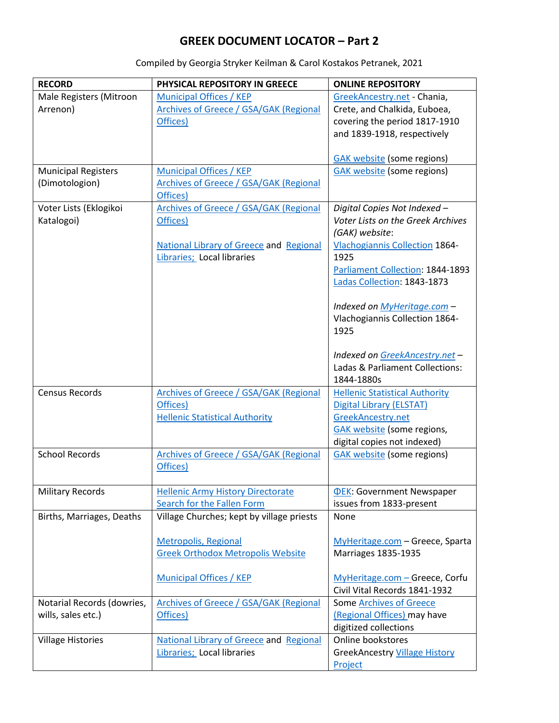## **GREEK DOCUMENT LOCATOR – Part 2**

| <b>RECORD</b>              | PHYSICAL REPOSITORY IN GREECE                                          | <b>ONLINE REPOSITORY</b>                                          |
|----------------------------|------------------------------------------------------------------------|-------------------------------------------------------------------|
| Male Registers (Mitroon    | Municipal Offices / KEP                                                | GreekAncestry.net - Chania,                                       |
| Arrenon)                   | Archives of Greece / GSA/GAK (Regional                                 | Crete, and Chalkida, Euboea,                                      |
|                            | Offices)                                                               | covering the period 1817-1910                                     |
|                            |                                                                        | and 1839-1918, respectively                                       |
|                            |                                                                        | <b>GAK website (some regions)</b>                                 |
| <b>Municipal Registers</b> | Municipal Offices / KEP                                                | <b>GAK</b> website (some regions)                                 |
| (Dimotologion)             | <b>Archives of Greece / GSA/GAK (Regional</b>                          |                                                                   |
|                            | Offices)                                                               |                                                                   |
| Voter Lists (Eklogikoi     | Archives of Greece / GSA/GAK (Regional                                 | Digital Copies Not Indexed -                                      |
| Katalogoi)                 | Offices)                                                               | Voter Lists on the Greek Archives                                 |
|                            |                                                                        | (GAK) website:                                                    |
|                            | <b>National Library of Greece and Regional</b>                         | <b>Vlachogiannis Collection 1864-</b>                             |
|                            | Libraries; Local libraries                                             | 1925                                                              |
|                            |                                                                        | Parliament Collection: 1844-1893                                  |
|                            |                                                                        | Ladas Collection: 1843-1873                                       |
|                            |                                                                        | Indexed on MyHeritage.com -                                       |
|                            |                                                                        | Vlachogiannis Collection 1864-                                    |
|                            |                                                                        | 1925                                                              |
|                            |                                                                        |                                                                   |
|                            |                                                                        | Indexed on GreekAncestry.net -                                    |
|                            |                                                                        | Ladas & Parliament Collections:                                   |
| <b>Census Records</b>      | Archives of Greece / GSA/GAK (Regional                                 | 1844-1880s                                                        |
|                            | Offices)                                                               | <b>Hellenic Statistical Authority</b><br>Digital Library (ELSTAT) |
|                            | <b>Hellenic Statistical Authority</b>                                  | GreekAncestry.net                                                 |
|                            |                                                                        | <b>GAK website</b> (some regions,                                 |
|                            |                                                                        | digital copies not indexed)                                       |
| <b>School Records</b>      | <b>Archives of Greece / GSA/GAK (Regional</b>                          | <b>GAK</b> website (some regions)                                 |
|                            | Offices)                                                               |                                                                   |
|                            |                                                                        |                                                                   |
| <b>Military Records</b>    | <b>Hellenic Army History Directorate</b><br>Search for the Fallen Form | <b>OEK: Government Newspaper</b><br>issues from 1833-present      |
| Births, Marriages, Deaths  | Village Churches; kept by village priests                              | None                                                              |
|                            |                                                                        |                                                                   |
|                            | <b>Metropolis, Regional</b>                                            | MyHeritage.com - Greece, Sparta                                   |
|                            | <b>Greek Orthodox Metropolis Website</b>                               | <b>Marriages 1835-1935</b>                                        |
|                            |                                                                        |                                                                   |
|                            | <b>Municipal Offices / KEP</b>                                         | MyHeritage.com - Greece, Corfu                                    |
|                            |                                                                        | Civil Vital Records 1841-1932                                     |
| Notarial Records (dowries, | <b>Archives of Greece / GSA/GAK (Regional</b>                          | <b>Some Archives of Greece</b>                                    |
| wills, sales etc.)         | Offices)                                                               | (Regional Offices) may have                                       |
|                            |                                                                        | digitized collections                                             |
| <b>Village Histories</b>   | <b>National Library of Greece and Regional</b>                         | Online bookstores                                                 |
|                            | Libraries; Local libraries                                             | GreekAncestry Village History                                     |
|                            |                                                                        | Project                                                           |

Compiled by Georgia Stryker Keilman & Carol Kostakos Petranek, 2021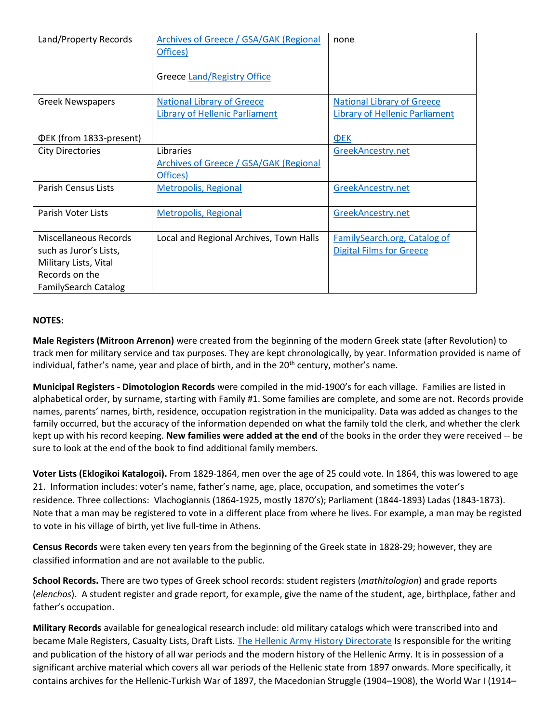| Land/Property Records          | Archives of Greece / GSA/GAK (Regional<br>Offices) | none                                  |
|--------------------------------|----------------------------------------------------|---------------------------------------|
|                                | Greece Land/Registry Office                        |                                       |
| <b>Greek Newspapers</b>        | <b>National Library of Greece</b>                  | <b>National Library of Greece</b>     |
|                                | <b>Library of Hellenic Parliament</b>              | <b>Library of Hellenic Parliament</b> |
|                                |                                                    |                                       |
| <b>OEK (from 1833-present)</b> |                                                    | <b>OEK</b>                            |
| <b>City Directories</b>        | Libraries                                          | GreekAncestry.net                     |
|                                | <b>Archives of Greece / GSA/GAK (Regional</b>      |                                       |
|                                | Offices)                                           |                                       |
| <b>Parish Census Lists</b>     | Metropolis, Regional                               | GreekAncestry.net                     |
|                                |                                                    |                                       |
| Parish Voter Lists             | <b>Metropolis, Regional</b>                        | GreekAncestry.net                     |
| Miscellaneous Records          | Local and Regional Archives, Town Halls            | FamilySearch.org, Catalog of          |
| such as Juror's Lists,         |                                                    | <b>Digital Films for Greece</b>       |
| Military Lists, Vital          |                                                    |                                       |
| Records on the                 |                                                    |                                       |
| <b>FamilySearch Catalog</b>    |                                                    |                                       |

## **NOTES:**

**Male Registers (Mitroon Arrenon)** were created from the beginning of the modern Greek state (after Revolution) to track men for military service and tax purposes. They are kept chronologically, by year. Information provided is name of individual, father's name, year and place of birth, and in the  $20<sup>th</sup>$  century, mother's name.

**Municipal Registers - Dimotologion Records** were compiled in the mid-1900's for each village. Families are listed in alphabetical order, by surname, starting with Family #1. Some families are complete, and some are not. Records provide names, parents' names, birth, residence, occupation registration in the municipality. Data was added as changes to the family occurred, but the accuracy of the information depended on what the family told the clerk, and whether the clerk kept up with his record keeping. **New families were added at the end** of the books in the order they were received -- be sure to look at the end of the book to find additional family members.

**Voter Lists (Eklogikoi Katalogoi).** From 1829-1864, men over the age of 25 could vote. In 1864, this was lowered to age 21. Information includes: voter's name, father's name, age, place, occupation, and sometimes the voter's residence. Three collections: Vlachogiannis (1864-1925, mostly 1870's); Parliament (1844-1893) Ladas (1843-1873). Note that a man may be registered to vote in a different place from where he lives. For example, a man may be registed to vote in his village of birth, yet live full-time in Athens.

**Census Records** were taken every ten years from the beginning of the Greek state in 1828-29; however, they are classified information and are not available to the public.

**School Records.** There are two types of Greek school records: student registers (*mathitologion*) and grade reports (*elenchos*). A student register and grade report, for example, give the name of the student, age, birthplace, father and father's occupation.

**Military Records** available for genealogical research include: old military catalogs which were transcribed into and became Male Registers, Casualty Lists, Draft Lists. [The Hellenic Army History Directorate](https://dis.army.gr/) Is responsible for the writing and publication of the history of all war periods and the modern history of the Hellenic Army. It is in possession of a significant archive material which covers all war periods of the Hellenic state from 1897 onwards. More specifically, it contains archives for the Hellenic-Turkish War of 1897, the Macedonian Struggle (1904–1908), the World War I (1914–